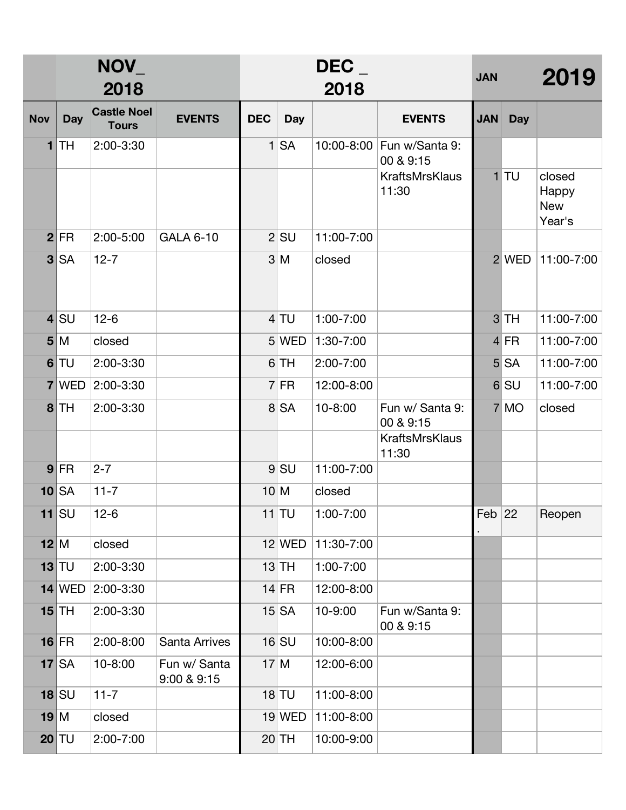|                         | NOV_<br>2018 |                                    |                             | DEC<br>2018  |            |               |                                        | <b>JAN</b> |                 | 2019                                    |
|-------------------------|--------------|------------------------------------|-----------------------------|--------------|------------|---------------|----------------------------------------|------------|-----------------|-----------------------------------------|
| <b>Nov</b>              | <b>Day</b>   | <b>Castle Noel</b><br><b>Tours</b> | <b>EVENTS</b>               | <b>DEC</b>   | <b>Day</b> |               | <b>EVENTS</b>                          | <b>JAN</b> | <b>Day</b>      |                                         |
| 1                       | <b>TH</b>    | 2:00-3:30                          |                             | $\mathbf{1}$ | <b>SA</b>  |               | 10:00-8:00 Fun w/Santa 9:<br>00 & 9:15 |            |                 |                                         |
|                         |              |                                    |                             |              |            |               | <b>KraftsMrsKlaus</b><br>11:30         |            | $1$ TU          | closed<br>Happy<br><b>New</b><br>Year's |
| 2 <sup>1</sup>          | <b>FR</b>    | 2:00-5:00                          | <b>GALA 6-10</b>            |              | $2$ $SU$   | 11:00-7:00    |                                        |            |                 |                                         |
| 3                       | <b>SA</b>    | $12 - 7$                           |                             |              | 3 M        | closed        |                                        |            | 2 WED           | 11:00-7:00                              |
| $\overline{\mathbf{4}}$ | SU           | $12-6$                             |                             |              | $4$ TU     | 1:00-7:00     |                                        |            | 3 TH            | 11:00-7:00                              |
|                         | 5 M          | closed                             |                             |              | 5 WED      | 1:30-7:00     |                                        |            | 4 FR            | 11:00-7:00                              |
| 6                       | <b>TU</b>    | 2:00-3:30                          |                             |              | 6 TH       | 2:00-7:00     |                                        |            | <b>5 SA</b>     | 11:00-7:00                              |
| $\overline{7}$          | <b>WED</b>   | 2:00-3:30                          |                             |              | $7$ FR     | 12:00-8:00    |                                        |            | 6 <sub>SU</sub> | 11:00-7:00                              |
| 8 <sup>1</sup>          | <b>TH</b>    | 2:00-3:30                          |                             |              | 8 SA       | 10-8:00       | Fun w/ Santa 9:<br>00 & 9:15           |            | 7 MO            | closed                                  |
|                         |              |                                    |                             |              |            |               | <b>KraftsMrsKlaus</b><br>11:30         |            |                 |                                         |
|                         | $9$ FR       | $2 - 7$                            |                             |              | $9$ $SU$   | 11:00-7:00    |                                        |            |                 |                                         |
|                         | $10$ SA      | $11 - 7$                           |                             | 10 M         |            | closed        |                                        |            |                 |                                         |
|                         | 11 $ S$ U    | $12-6$                             |                             |              | 11 TU      | $1:00 - 7:00$ |                                        | Feb $ 22 $ |                 | Reopen                                  |
|                         | 12 M         | closed                             |                             |              | $12$ WED   | 11:30-7:00    |                                        |            |                 |                                         |
|                         | $13$ TU      | 2:00-3:30                          |                             |              | $13$ TH    | $1:00 - 7:00$ |                                        |            |                 |                                         |
|                         | $14$ WED     | 2:00-3:30                          |                             |              | $14$ FR    | 12:00-8:00    |                                        |            |                 |                                         |
|                         | $15$ TH      | 2:00-3:30                          |                             |              | $15$ $SA$  | 10-9:00       | Fun w/Santa 9:<br>00 & 9:15            |            |                 |                                         |
|                         | $16$ FR      | $2:00 - 8:00$                      | Santa Arrives               |              | $16$ $SU$  | 10:00-8:00    |                                        |            |                 |                                         |
| 17                      | <b>SA</b>    | 10-8:00                            | Fun w/ Santa<br>9:00 & 9:15 |              | 17 M       | 12:00-6:00    |                                        |            |                 |                                         |
|                         | $18$ $SU$    | $11 - 7$                           |                             |              | $18$ TU    | 11:00-8:00    |                                        |            |                 |                                         |
| 19 M                    |              | closed                             |                             |              | 19 WED     | 11:00-8:00    |                                        |            |                 |                                         |
|                         | $20$ TU      | 2:00-7:00                          |                             |              | $20$ TH    | 10:00-9:00    |                                        |            |                 |                                         |